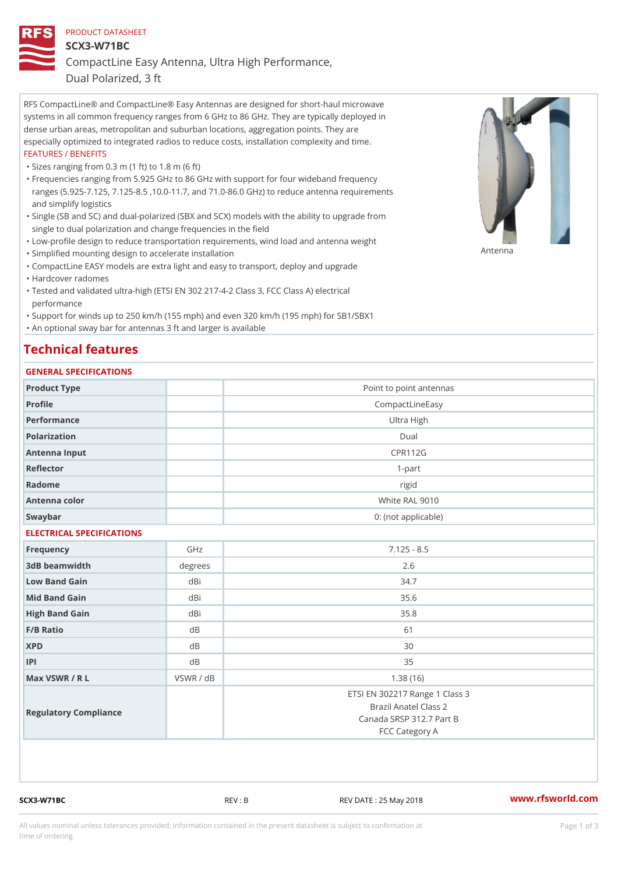# PRODUCT DATASHEET SCX3-W71BC CompactLine Easy Antenna, Ultra High Performance,

Dual Polarized, 3 ft

RFS CompactLine® and CompactLine® Easy Antennas are designed for short-haul microwave systems in all common frequency ranges from 6 GHz to 86 GHz. They are typically deployed in dense urban areas, metropolitan and suburban locations, aggregation points. They are especially optimized to integrated radios to reduce costs, installation complexity and time. FEATURES / BENEFITS

"Sizes ranging from 0.3 m (1 ft) to 1.8 m (6 ft)

- Frequencies ranging from 5.925 GHz to 86 GHz with support for four wideband frequency " ranges (5.925-7.125, 7.125-8.5 ,10.0-11.7, and 71.0-86.0 GHz) to reduce antenna requirements and simplify logistics
- Single (SB and SC) and dual-polarized (SBX and SCX) models with the ability to upgrade from " single to dual polarization and change frequencies in the field
- "Low-profile design to reduce transportation requirements, wind load and antenna weight
- "Simplified mounting design to accelerate installation

 "CompactLine EASY models are extra light and easy to transport, deploy and upgrade "Hardcover radomes

Tested and validated ultra-high (ETSI EN 302 217-4-2 Class 3, FCC Class A) electrical " performance

 "Support for winds up to 250 km/h (155 mph) and even 320 km/h (195 mph) for SB1/SBX1 "An optional sway bar for antennas 3 ft and larger is available

#### Technical features

#### GENERAL SPECIFICATIONS

| Product Type              |           | Point to point antennas        |  |  |
|---------------------------|-----------|--------------------------------|--|--|
| Profile                   |           | CompactLineEasy                |  |  |
| Performance               |           | Ultra High                     |  |  |
| Polarization              |           | $D$ ual                        |  |  |
| Antenna Input             |           | <b>CPR112G</b>                 |  |  |
| Reflector                 |           | $1 - p$ art                    |  |  |
| Radome                    |           | rigid                          |  |  |
| Antenna color             |           | White RAL 9010                 |  |  |
| Swaybar                   |           | 0: (not applicable)            |  |  |
| ELECTRICAL SPECIFICATIONS |           |                                |  |  |
| Frequency                 | GHz       | $7.125 - 8.5$                  |  |  |
| 3dB beamwidth             | degree    | 2.6                            |  |  |
| Low Band Gain             | dBi       | 34.7                           |  |  |
| Mid Band Gain             | dBi       | 35.6                           |  |  |
| High Band Gain            | dBi       | 35.8                           |  |  |
| F/B Ratio                 | $d$ B     | 61                             |  |  |
| <b>XPD</b>                | d B       | 30                             |  |  |
| P                         | $d$ B     | 35                             |  |  |
| Max VSWR / R L            | VSWR / dB | 1.38(16)                       |  |  |
|                           |           | ETSI EN 302217 Range 1 Class 3 |  |  |
|                           |           | Brazil Anatel Class 2          |  |  |
| Regulatory Compliance     |           | Canada SRSP 312.7 Part B       |  |  |
|                           |           | FCC Category A                 |  |  |

SCX3-W71BC REV : B REV DATE : 25 May 2018 [www.](https://www.rfsworld.com)rfsworld.com

Antenna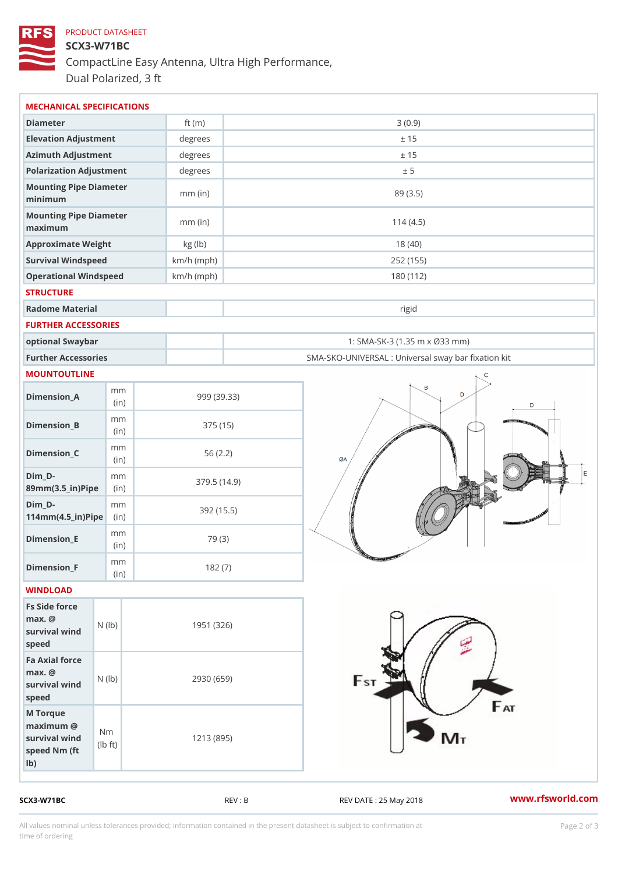### PRODUCT DATASHEET SCX3-W71BC CompactLine Easy Antenna, Ultra High Performance, Dual Polarized, 3 ft

| MECHANICAL SPECIFICATIONS                                                                           |              |                                                   |
|-----------------------------------------------------------------------------------------------------|--------------|---------------------------------------------------|
| Diameter                                                                                            | ft $(m)$     | 3(0.9)                                            |
| Elevation Adjustment                                                                                | degrees      | ± 15                                              |
| Azimuth Adjustment                                                                                  | degrees      | ± 15                                              |
| Polarization Adjustment                                                                             | degrees      | ± 5                                               |
| Mounting Pipe Diameter<br>minimum                                                                   | $mm$ (in)    | 89 (3.5)                                          |
| Mounting Pipe Diameter<br>maximum                                                                   | $mm$ (in)    | 114(4.5)                                          |
| Approximate Weight                                                                                  | kg (lb)      | 18(40)                                            |
| Survival Windspeed                                                                                  | $km/h$ (mph) | 252 (155)                                         |
| Operational Windspeed                                                                               | $km/h$ (mph) | 180 (112)                                         |
| <b>STRUCTURE</b>                                                                                    |              |                                                   |
| Radome Material                                                                                     |              | rigid                                             |
| FURTHER ACCESSORIES                                                                                 |              |                                                   |
| optional Swaybar                                                                                    |              | 1: SMA-SK-3 (1.35 m x Ø33 mm)                     |
| Further Accessories                                                                                 |              | SMA-SKO-UNIVERSAL : Universal sway bar fixation l |
| <b>MOUNTOUTLINE</b>                                                                                 |              |                                                   |
| m m<br>$Dimension_A$<br>(in)                                                                        |              | 999 (39.33)                                       |
| m m<br>$Dimension_B$<br>(in)                                                                        |              | 375 (15)                                          |
| m m<br>$Dimension_C$<br>(in)                                                                        |              | 56(2.2)                                           |
| $Dim_D - D -$<br>m m<br>89mm (3.5_in) Pi(pine)                                                      |              | 379.5(14.9)                                       |
| $Dim_D - D -$<br>m m<br>$114mm(4.5_{ir})$ $Ri$ p $e$                                                |              | 392 (15.5)                                        |
| m m<br>$Dimension$ _ $E$<br>(in)                                                                    |              | 79 (3)                                            |
| m m<br>$Dimen sion_F$<br>(in)                                                                       |              | 182(7)                                            |
| WINDLOAD                                                                                            |              |                                                   |
| Fs Side force<br>$max.$ @<br>(1b)<br>$survival$ wind<br>speed                                       |              | 1951 (326)                                        |
| Fa Axial force<br>$max.$ @<br>survival wind (lb)<br>speed                                           | 2930 (659)   |                                                   |
| M Torque<br>$maximum$ @<br>N m<br>survival wind<br>l b<br>$\uparrow$ t )<br>speed Nm (ft)<br>$1b$ ) | 1213 (895)   |                                                   |

SCX3-W71BC REV : B REV DATE : 25 May 2018 [www.](https://www.rfsworld.com)rfsworld.com